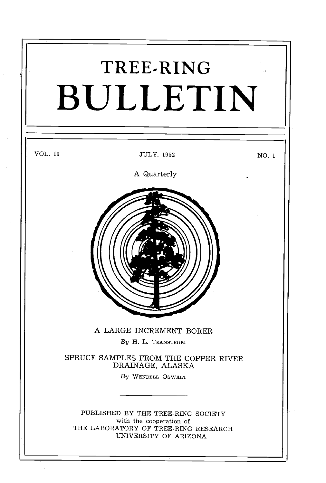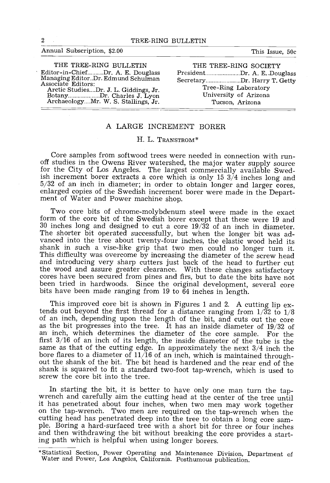#### Annual Subscription, \$2.00 This Issue, 50c

| THE TREE-RING BULLETIN                                                                        | THE TREE-RING SOCIETY                                      |
|-----------------------------------------------------------------------------------------------|------------------------------------------------------------|
| Editor-in-ChiefDr. A. E. Douglass<br>Managing EditorDr. Edmund Schulman<br>Associate Editors: | PresidentDr. A. E. Douglass<br>SecretaryDr. Harry T. Getty |
| Arctic StudiesDr. J. L. Giddings, Jr.<br>BotanyDr. Charles J. Lyon                            | Tree-Ring Laboratory<br>University of Arizona              |
| ArchaeologyMr. W. S. Stallings, Jr.                                                           | Tucson, Arizona                                            |

### A LARGE INCREMENT BORER

#### H. L. TRANSTROM<sup>\*</sup>

Core samples from softwood trees were needed in connection with run- off studies in the Owens River watershed, the major water supply source for the City of Los Angeles. The largest commercially available Swedish increment borer extracts a core which is only 15 3/4 inches long and 5/32 of an inch in diameter; in order to obtain longer and larger cores, enlarged copies of the Swedish increment borer were made in the Depart- ment of Water and Power machine shop.

Two core bits of chrome -molybdenum steel were made in the exact form of the core bit of the Swedish borer except that these were <sup>19</sup> and <sup>30</sup> inches long and designed to cut a core 19/32 of an inch in diameter. The shorter bit operated successfully, but when the longer bit was ad-<br>vanced into the tree about twenty-four inches, the elastic wood held its shank in such a vise-like grip that two men could no longer turn it.<br>This difficulty was overcome by increasing the diameter of the screw head and introducing very sharp cutters just back of the head to further cut the wood and assure greater clearance. With these changes satisfactory cores have been secured from pines and firs, but to date the bits have not been tried in hardwoods. Since the original development, several core bits have been made ranging from <sup>19</sup> to <sup>64</sup> inches in length.

This improved core bit is shown in Figures 1 and 2. A cutting lip extends out beyond the first thread for a distance ranging from  $1/\overline{3}2$  to  $1/8$  of an inch, depending upon the length of the bit, and cuts out the core as the bit progresses into the tree. It has an inside diameter of 19/32 of an inch, which determines the diameter of the core sample. For the first 3/16 of an inch of its length, the inside diameter of the tube is the same as that of the cutting edge. In approximately the next 3/4 inch the bore flares to a diameter of 11/16 of an inch, which is maintained through-<br>out the shank of the bit. The bit head is hardened and the rear end of the out the shank of the bit. The bit head is hardened and the rear end of the shank is squared to fit a standard two-foot tap-wrench, which is used to screw the core bit into the tree.

In starting the bit, it is better to have only one man turn the tap-<br>wrench and carefully aim the cutting head at the center of the tree until<br>it has penetrated about four inches, when two men may work together<br>on the tapple. Boring a hard-surfaced tree with a short bit for three or four inches<br>and then withdrawing the bit without breaking the core provides a start-<br>ing path which is helpful when using longer borers.

<sup>\*</sup>Statistical Section, Power Operating and Maintenance Division, Department of Water and Power, Los Angeles, California. Posthumous publication.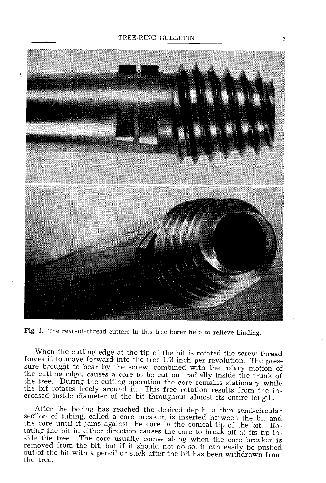

Fig. 1. The rear -of- thread cutters in this tree borer help to relieve binding.

When the cutting edge at the tip of the bit is rotated the screw thread forces it to move forward into the tree  $1/3$  inch per revolution. The pressure brought to bear by the screw, combined with the rotary motion of the the tree. During the cutting operation the core remains stationary while the bit rotates freely around it. This free rotation results from the increased inside diameter of the bit throughout almost its entire length.

After the boring has reached the desired depth, a thin semi-circular<br>section of tubing, called a core breaker, is inserted between the bit and<br>the core until it jams against the core in the conical tip of the bit. Ro-<br>tati out of the bit with a pencil or stick after the bit has been withdrawn from the tree.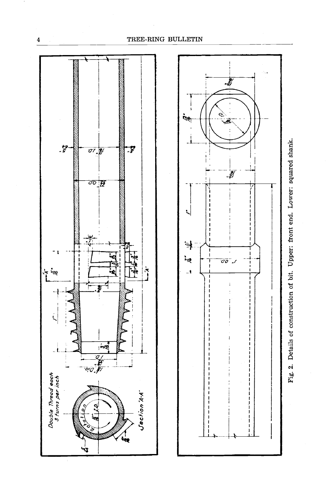

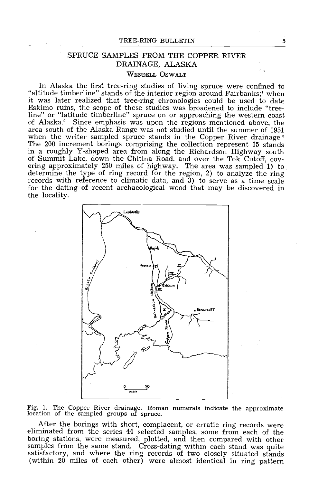# SPRUCE SAMPLES FROM THE COPPER RIVER DRAINAGE, ALASKA

## WENDELL OSWALT

In Alaska the first tree -ring studies of living spruce were confined to "altitude timberline" stands of the interior region around Fairbanks;' when<br>it was later realized that tree-ring chronologies could be used to date Eskimo ruins, the scope of these studies was broadened to include "tree-<br>line" or "latitude timberline" spruce on or approaching the western coast<br>of Alaska.<sup>2</sup> Since emphasis was upon the regions mentioned above, the<br>area when the writer sampled spruce stands in the Copper River drainage.<sup>3</sup><br>The 200 increment borings comprising the collection represent 15 stands in a roughly Y-shaped area from along the Richardson Highway south of Summit Lake, down the Chitina Road, and over the Tok Cutoff, covering approximately 250 miles of highway. The area was sampled 1) to determine the type of ring record for the region, 2) to analyze the ring records with reference to climatic data, and 3) to serve as a time scale for the dating of recent archaeological wood that may be discovered in the locality.



Fig. 1. The Copper River drainage. Roman numerals indicate the approximate location of the sampled groups of spruce.

After the borings with short, complacent, or erratic ring records were eliminated from the series 44 selected samples, some from each of the boring stations, were measured, plotted, and then compared with other samples fro satisfactory, and where the ring records of two closely situated stands (within  $20$  miles of each other) were almost identical in ring pattern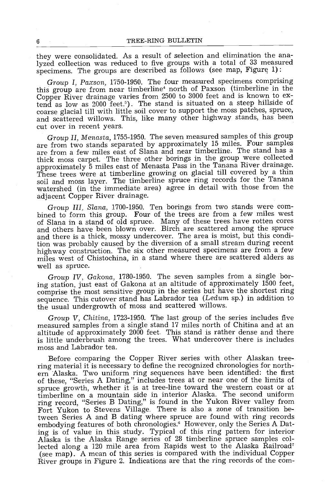they were consolidated. As a result of selection and elimination the analyzed collection was reduced to five groups with a total of 33 measured specimens. The groups are described as follows (see map, Figure 1) :

Group I, Paxson, 1750-1950. The four measured specimens comprising<br>this group are from near timberline<sup>4</sup> north of Paxson (timberline in the Copper River drainage varies from 2500 to 3000 feet and is known to extend as low as 2000 feet.'). The stand is situated on a steep hillside of coarse glacial till with little soil cover to support the moss patches, spruce, and scattered willows. This, like many other highway stands, has been cut over in recent years.

Group II, Menasta, 1755 -1950. The seven measured samples of this group are from two stands separated by approximately 15 miles. Four samples are from a few miles east of Slana and near timberline. The stand has a thick moss carpet. The three other borings in the group were collected These trees were at timberline growing on glacial till covered by a thin soil and moss layer. The timberline spruce ring records for the Tanana watershed (in the immediate area) agree in detail with those from the adjacent Copper River drainage.

Group III, Slana, 1700-1950. Ten borings from two stands were com-<br>bined to form this group. Four of the trees are from a few miles west of Slana in a stand of old spruce. Many of these trees have rotten cores and others have been blown over. Birch are scattered among the spruce and there is a thick, mossy undercover. The area is moist, but this condition was probably caused by the diversion of a small stream during recent highway construction. The six other measured specimens are from a few miles west of Chistochina, in a stand where there are scattered alders as well as spruce.

Group IV, Gakona, 1780 -1950. The seven samples from a single boring station, just east of Gakona at an altitude of approximately 1500 feet, comprise the most sensitive group in the series but have the shortest ring sequence. This cutover stand has Labrador tea (Ledum sp.) in addition to the usual undergrowth of moss and scattered willows.

Group V, Chitina, 1723-1950. The last group of the series includes five measured samples from a single stand 17 miles north of Chitina and at an altitude of approximately 2000 feet. This stand is rather dense and there is little underbrush among the trees. What undercover there is includes moss and Labrador tea.

Before comparing the Copper River series with other Alaskan tree-<br>ring material it is necessary to define the recognized chronologies for northern Alaska. Two uniform ring sequences have been identified: the first of these, "Series A Dating," includes trees at or near one of the limits of spruce growth, whether it is at tree -line toward the western coast or at timberline on a mountain side in interior Alaska. The second uniform ring record, "Series B Dating," is found in the Yukon River valley from Fort Yukon to Stevens Village. There is also a zone of transition between. Series A and B dating where spruce are found with ring records embodying features of both chronologies.' However, only the Series A Dating is of value in this study. Typical of this ring pattern for interior Alaska is the Alaska Range series of 28 timberline spruce samples collected along a 120 mile area from Rapids west to the Alaska Railroad<sup>7</sup> (see map). A mean of this series is compared with the individual Copper River groups in Figure 2. Indications are that the ring records of the com-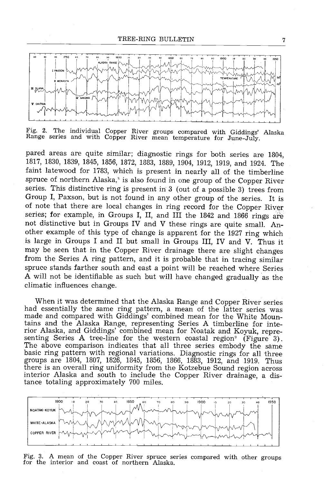

Fig. 2. The individual Copper River groups compared with Giddings' Alaska<br>Range series and with Copper River mean temperature for June-July.

pared areas are quite similar; diagnostic rings for both series are 1804, 1817, 1830, 1839, 1845, 1856, 1872, 1883, 1889, 1904, 1912, 1919, and 1924. The faint latewood for 1783, which is present in nearly all of the timberline spruce of northern Alaska,<sup>§</sup> is also found in one group of the Copper River series. This distinctive ring is present in  $3$  (out of a possible 3) trees from Group I, Paxson, but is not found in any other group of the series. It is of note that there are local changes in ring record for the Copper River series; for example, in Groups I, II, and III the 1842 and 1866 rings are not distinctive but in Groups IV and V these rings are quite small. Another example of this type of change is apparent for the 1927 ring which is large in Groups I and II but small in Groups III, IV and V. Thus it may be seen that in the Copper River drainage there are slight changes from the Series A ring pattern, and it is probable that in tracing similar spruce stands farther south and east a point will be reached where Series A will not be identifiable as such but will have changed gradually as the climatic influences change.

When it was determined that the Alaska Range and Copper River series had essentially the same ring pattern, a mean of the latter series was made and compared with Giddings' combined mean for the White Mountains and the Alaska Range, representing Series A timberline for interior Alaska, and Giddings' combined mean for Noatak and Koyuk, representing Series A tree-line for the western coastal region<sup>9</sup> (Figure 3). The above comparison indicates that all three series embody the same basic ring pattern with regional variations. Diagnostic rings for all three groups are 1804, 1807, 1826, 1845, 1856, 1866, 1883, 1912, and 1919. Thus<br>there is an overall ring uniformity from the Kotzebue Sound region across interior Alaska and south to include the Copper River drainage, a distance totaling approximately 700 miles.



Fig. 3. A mean of the Copper River spruce series compared with other groups for the interior and coast of northern Alaska.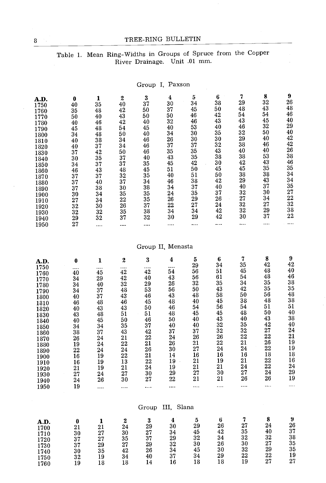# 8 TREE-RING BULLETIN

# Table 1. Mean Ring-Widths in Groups of Spruce from the Copper River Drainage. Unit .01 mm.

Group I, Paxson

| A.D.<br>1750<br>1760<br>1770<br>1780<br>1790<br>1800<br>1810<br>1820<br>1830<br>1840<br>1850<br>1860<br>1870<br>1880<br>1890<br>1900<br>1910<br>1920<br>1930<br>1940<br>1950 | 0<br>40<br>35<br>50<br>40<br>45<br>34<br>40<br>40<br>37<br>30<br>34<br>46<br>37<br>37<br>37<br>30<br>27<br>$\overline{3}2$<br>32<br>29<br>27 | 1<br>35<br>48<br>40<br>46<br>48<br>48<br>38<br>37<br>42<br>35<br>37<br>43<br>37<br>40<br>38<br>34<br>34<br>30<br>32<br>32<br>.                                                                                             | $\begin{array}{c} 2 \\ 40 \end{array}$<br>42<br>43<br>42<br>54<br>50<br>34<br>34<br>50<br>37<br>37<br>48<br>$32\,$<br>37<br>$\overline{30}$<br>35<br>22<br>26<br>35<br>37<br>.                                                             | 3<br>37<br>50<br>${\bf 50}$<br>40<br>45<br>40<br>46<br>46<br>46<br>$\overline{40}$<br>$35\,$<br>45<br>35<br>$\overline{34}$<br>$\bf 38$<br>35<br>$\frac{35}{37}$<br>$\overline{32}$<br>                                      | 4<br>30<br>$\bf 37$<br>50<br>$\overline{32}$<br>$\overline{40}$<br>34<br>$\frac{26}{37}$<br>$\overline{35}$<br>43<br>45<br>51<br>40<br>$\bf 46$<br>34<br>${\bf 24}$<br>26<br>$\overline{22}$<br>$\overline{34}$<br>30<br>.<br>Group II, Menasta | $\tilde{\mathbf{5}}$<br>34<br>45<br>46<br>$\bf 46$<br>$\overline{53}$<br>30<br>30<br>$\frac{5}{37}$<br>$\overline{35}$<br>$\frac{35}{42}$<br>$5\overline{0}$<br>51<br>$\overline{38}$<br>37<br>35<br>29<br>$\overline{27}$<br>34<br>29<br> | 6<br>38<br>50<br>42<br>43<br>40<br>35<br>30<br>$\overline{3}\overline{2}$<br>$4\overline{3}$<br>38<br>30<br>45<br>50<br>42<br>40<br>37<br>$\overline{26}$<br>$\bf{^{24}}$<br>$\bf 42$<br>42<br>      | 7<br>29<br>48<br>54<br>43<br>46<br>$3\overline{2}$<br>29<br>38<br>40<br>38<br>42<br>45<br>38<br>29<br>40<br>32<br>$2\overline{7}$<br>$\frac{1}{32}$<br>30<br>        | 8<br>32<br>43<br>54<br>45<br>32<br>50<br>40<br>46<br>40<br>53<br>$\overline{43}$<br>35<br>38<br>$\overline{43}$<br>37<br>30<br>34<br>27<br>$\overline{29}$<br>37<br> | 9<br>26<br>48<br>46<br>40<br>29<br>40<br>42<br>42<br>26<br>38<br>46<br>35<br>34<br>34<br>35<br>27<br>$^{22}$<br>32<br>$3\overline{8}$<br>$22\,$ |  |
|------------------------------------------------------------------------------------------------------------------------------------------------------------------------------|----------------------------------------------------------------------------------------------------------------------------------------------|----------------------------------------------------------------------------------------------------------------------------------------------------------------------------------------------------------------------------|--------------------------------------------------------------------------------------------------------------------------------------------------------------------------------------------------------------------------------------------|------------------------------------------------------------------------------------------------------------------------------------------------------------------------------------------------------------------------------|-------------------------------------------------------------------------------------------------------------------------------------------------------------------------------------------------------------------------------------------------|--------------------------------------------------------------------------------------------------------------------------------------------------------------------------------------------------------------------------------------------|------------------------------------------------------------------------------------------------------------------------------------------------------------------------------------------------------|----------------------------------------------------------------------------------------------------------------------------------------------------------------------|----------------------------------------------------------------------------------------------------------------------------------------------------------------------|-------------------------------------------------------------------------------------------------------------------------------------------------|--|
| A.D.<br>1750<br>1760<br>1770<br>1780<br>1790<br>1800<br>1810<br>1820<br>1830<br>1840<br>1850<br>1860<br>1870<br>1880<br>1890<br>1900<br>1910<br>1920<br>1930<br>1940<br>1950 | 0<br>.<br>40<br>34<br>34<br>34<br>40<br>46<br>40<br>43<br>40<br>34<br>38<br>26<br>19<br>$\overline{22}$<br>16<br>16<br>21<br>27<br>24<br>19  | 1<br><br>45<br>$\bf 29$<br>40<br>${\bf 37}$<br>37<br>$\bf 48$<br>$\bf 43$<br>48<br>$\overline{45}$<br>34<br>37<br>${\bf 24}$<br>24<br>${\bf 24}$<br>$\overline{1}9$<br>19<br>19<br>$\overline{24}$<br>$\overline{26}$<br>. | 2<br>$\frac{1}{42}$<br>42<br>32<br>$\overline{48}$<br>$\overline{43}$<br>$\frac{46}{43}$<br>51<br>50<br>35<br>$\bf 43$<br>21<br>$\overline{2}\overline{2}$<br>$\overline{2}4$<br>$\bf{22}$<br>13<br>$\bf 21$<br>$\overline{2}7$<br>30<br>. | 3<br>$\frac{1}{42}$<br>40<br>29<br>53<br>46<br>45<br>50<br>51<br>46<br>37<br>42<br>$\overline{22}$<br>$\overline{21}$<br>$\begin{array}{c} 26 \\ 21 \end{array}$<br>$\overline{2}\overline{2}$<br>$\bf{24}$<br>30<br>27<br>. | 4<br>$\frac{1}{54}$<br>43<br>$\bf 26$<br>56<br>43<br>48<br>46<br>48<br>50<br>40<br>37<br>24<br>26<br>30<br>14<br>$\overline{1}9$<br>19<br>29<br>22<br>.                                                                                         | 5<br>29<br>56<br>56<br>32<br>50<br>48<br>40<br>54<br>45<br>40<br>40<br>37<br>26<br>${\bf 21}$<br>27<br>$\overline{16}$<br>21<br>21<br>27<br>21                                                                                             | 6<br>34<br>51<br>61<br>35<br>43<br>58<br>45<br>56<br>45<br>$\overline{43}$<br>$\begin{array}{c} 32 \\ 32 \\ 26 \\ 22 \end{array}$<br>$\overline{24}$<br>$\overline{16}$<br>19<br>21<br>30<br>21<br>. | 7<br>35<br>45<br>54<br>34<br>$42\,$<br>50<br>38<br>54<br>48<br>40<br>$35\,$<br>32<br>$\overline{22}$<br>21<br>24<br>16<br>$21\,$<br>24<br>$\overline{27}$<br>26<br>. | 8<br>42<br>48<br>48<br>35<br>35<br>56<br>48<br>51<br>50<br>43<br>42<br>27<br>22<br>26<br>22<br>18<br>22<br>22<br>24<br>26                                            | 9<br>42<br>40<br>46<br>38<br>35<br>48<br>38<br>51<br>40<br>38<br>40<br>24<br>21<br>19<br>19<br>18<br>16<br>24<br>$\bf 29$<br>19<br>             |  |
|                                                                                                                                                                              |                                                                                                                                              |                                                                                                                                                                                                                            |                                                                                                                                                                                                                                            | Group                                                                                                                                                                                                                        | III, Slana                                                                                                                                                                                                                                      |                                                                                                                                                                                                                                            |                                                                                                                                                                                                      |                                                                                                                                                                      |                                                                                                                                                                      |                                                                                                                                                 |  |
| A.D.<br>1700<br>1710<br>1720<br>1730<br>1740<br>1750<br>1760                                                                                                                 | 0<br>21<br>30<br>37<br>37<br>30<br>32<br>19                                                                                                  | 1<br>21<br>$\bf 27$<br>${\bf 27}$<br>$\overline{2}9$<br>35<br>19<br>18                                                                                                                                                     | $\boldsymbol{2}$<br>$\bf{24}$<br>$\overline{30}$<br>35<br>$\frac{27}{42}$<br>34<br>18                                                                                                                                                      | $\frac{3}{29}$<br>$\overline{2}\overline{7}$<br>$\overline{3}\overline{7}$<br>29<br>$\frac{26}{40}$<br>14                                                                                                                    | 4<br>30<br>34<br>29<br>32<br>$\overline{34}$<br>37<br>16                                                                                                                                                                                        | 5<br>29<br>45<br>$32\,$<br>$\overline{30}$<br>45<br>34<br>18                                                                                                                                                                               | 6<br>26<br>42<br>34<br>26<br>30<br>29<br>18                                                                                                                                                          | 7<br>27<br>35<br>$3\sqrt{2}$<br>30<br>32<br>$22\,$<br>19                                                                                                             | 8<br>24<br>40<br>32<br>$\bf 27$<br>29<br>22<br>27                                                                                                                    | ŋ<br>26<br>37<br>38<br>35<br>35<br>19<br>$\bf 27$                                                                                               |  |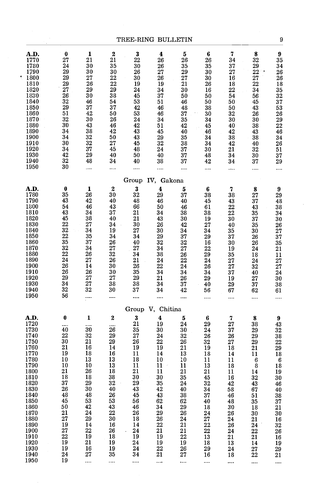|                                                                                                                                                                                                      |                                                                                                                                                                                                   |                                                                                                                                                    |                                                                                                                                                                 |                                                                                                                                                                      | TREE-RING BULLETIN                                                                                                                                                                              |                                                                                                                                                         |                                                                                                                                                                        |                                                                                                                                                               |                                                                                                                                               | 9                                                                                                                                              |  |
|------------------------------------------------------------------------------------------------------------------------------------------------------------------------------------------------------|---------------------------------------------------------------------------------------------------------------------------------------------------------------------------------------------------|----------------------------------------------------------------------------------------------------------------------------------------------------|-----------------------------------------------------------------------------------------------------------------------------------------------------------------|----------------------------------------------------------------------------------------------------------------------------------------------------------------------|-------------------------------------------------------------------------------------------------------------------------------------------------------------------------------------------------|---------------------------------------------------------------------------------------------------------------------------------------------------------|------------------------------------------------------------------------------------------------------------------------------------------------------------------------|---------------------------------------------------------------------------------------------------------------------------------------------------------------|-----------------------------------------------------------------------------------------------------------------------------------------------|------------------------------------------------------------------------------------------------------------------------------------------------|--|
| A.D.<br>1770<br>1780<br>1790<br>1800<br>1810<br>1820<br>1830<br>1840<br>1850<br>1860<br>1870<br>1880<br>1890<br>1900<br>1910<br>1920<br>1930<br>1940<br>1950                                         | 0<br>27<br>24<br>29<br>29<br>29<br>27<br>26<br>32<br>29<br>51<br>32<br>30<br>34<br>34<br>30<br>34<br>42<br>32<br>30                                                                               | 1<br>21<br>30<br>30<br>$\bf 27$<br>26<br>29<br>$30\,$<br>46<br>37<br>42<br>30<br>43<br>38<br>$32\,$<br>$32\,$<br>37<br>29<br>48<br>                | $\boldsymbol{2}$<br>21<br>35<br>30<br>$\overline{22}$<br>$\substack{22 \\ 29}$<br>38<br>54<br>37<br>50<br>26<br>46<br>42<br>50<br>$27\,$<br>45<br>40<br>34<br>  | $\bf 3$<br>$\bf 22$<br>30<br>26<br>$30\,$<br>19<br>24<br>45<br>53<br>42<br>53<br>24<br>$\bf{42}$<br>43<br>43<br>45<br>48<br>50<br>40<br>                             | 4<br>26<br>26<br>27<br>${\bf 26}$<br>19<br>34<br>$37\,$<br>51<br>46<br>46<br>34<br>51<br>45<br>$\bf 29$<br>32<br>24<br>40<br>38<br>                                                             | $\mathbf{5}$<br>26<br>35<br>29<br>$\bf 27$<br>21<br>30<br>50<br>46<br>48<br>37<br>35<br>42<br>40<br>35<br>38<br>37 <sub>1</sub><br>37<br>37<br>         | 6<br>26<br>35<br>30<br>$30\,$<br>26<br>16<br>${\bf 50}$<br>50<br>$38\,$<br>$\sim 10^{-1}$<br>30 <sub>1</sub><br>34<br>45<br>46<br>34<br>34<br>30<br>$\bf 48$<br>42<br> | 7<br>34<br>37<br>27<br>16<br>18<br>22<br>54<br>50<br>$50\,$<br>32<br>30<br>40<br>42<br>${\bf 38}$<br>42<br>21<br>34<br>34<br>                                 | 8<br>32<br>29<br>$22 -$<br>27<br>22<br>34<br>56<br>45<br>43<br>26<br>30<br>38<br>43<br>38<br>$\sim$<br>40<br>32<br>30<br>37<br>.              | 9<br>35<br>34<br>26<br>26<br>18<br>35<br>32<br>37<br>53<br>26<br>29<br>22<br>46<br>34<br>26<br>51<br>37<br>29<br>                              |  |
|                                                                                                                                                                                                      |                                                                                                                                                                                                   |                                                                                                                                                    |                                                                                                                                                                 |                                                                                                                                                                      | Group IV, Gakona                                                                                                                                                                                |                                                                                                                                                         |                                                                                                                                                                        |                                                                                                                                                               |                                                                                                                                               |                                                                                                                                                |  |
| A.D.<br>1780<br>1790<br>1800<br>1810<br>1820<br>1830<br>1840<br>1850<br>1860<br>1870<br>1880<br>1890<br>1900<br>1910<br>1920<br>1930<br>1940<br>1950                                                 | $\bf{0}$<br>35<br>43<br>54<br>43<br>45<br>$22\,$<br>$32\,$<br>$\mathcal{F}_\mathrm{a}$ , $\mathcal{F}_\mathrm{a}$<br>22<br>35<br>32<br>$22\,$<br>24<br>26<br>26<br>$\bf 29$<br>34<br>$32\,$<br>56 | $\mathbf{1}$<br>26<br>42<br>46<br>34<br>38<br>$\bf 27$<br>34<br>35<br>$\bf{37}$<br>34<br>$\bf 26$<br>27<br>14<br>26<br>27<br>27<br>32<br>.         | $\pmb{2}$<br>$30\,$<br>40<br>43<br>37<br>$40\,$<br>34<br>19<br>$\bf{34}$<br>26<br>27<br>$32\,$<br>26<br>30<br>$30\,$<br>$\bf 27$<br>38<br>30<br>                | $\bf 3$<br>32<br>48<br>66<br>21<br>21<br>30<br>$\bf 27$<br>34<br>40<br>27<br>34<br>21<br>$\mathcal{L}_{\mathcal{L}}$<br>26<br>$35\,$<br>$\bf 29$<br>$38\,$<br>37<br> | $\boldsymbol{4}$<br>29<br>46<br>$50\,$<br>34<br>43<br>${\bf 26}$<br>$30\,$<br>$\bf 29$<br>$32\,$<br>34<br>${\bf 38}$<br>${\bf 24}$<br>$\bf 22$<br>34<br>21<br>34<br>34<br>                      | $\bf 5$<br>$37\,$<br>40<br>46<br>38<br>30<br>42<br>34<br>37<br>32<br>$\bf 27$<br>26<br>22<br>24<br>34<br>26<br>37<br>42<br>                             | 6<br>$3\sqrt{3}$<br>45<br>61<br>38<br>19<br>$\bf 27$<br>34<br>29<br>16<br>22<br>$\bf 29$<br>24<br>26<br>34<br>29<br>$\sim 40$<br>56<br>                                | $\bf 7$<br>38<br>43<br>22<br>$\bf 22$<br>30<br>${\bf 40}$<br>$35\,$<br>$3\,7$<br>30<br>19<br>$35\,$<br>${\bf 27}$<br>27<br>$3\,7$<br>19<br>$\bf 29$<br>67<br> | 8<br>27<br>37<br>43<br>35<br>$37\,$<br>35<br>30<br>${\bf 26}$<br>26<br>24<br>$18\,$<br>24<br>32<br>40<br>27<br>$37\,$<br>62                   | $\pmb{9}$<br>29<br>48<br>38<br>34<br>30<br>26<br>27<br>37<br>35<br>21<br>11<br>27<br>27<br>24<br>30<br>38<br>61                                |  |
|                                                                                                                                                                                                      |                                                                                                                                                                                                   |                                                                                                                                                    |                                                                                                                                                                 |                                                                                                                                                                      | Group V, Chitina                                                                                                                                                                                |                                                                                                                                                         |                                                                                                                                                                        |                                                                                                                                                               |                                                                                                                                               |                                                                                                                                                |  |
| A.D.<br>1720<br>1730<br>1740<br>1750<br>1760<br>1770<br>1780<br>1790<br>1800<br>1810<br>1820<br>1830<br>1840<br>1850<br>1860<br>1870<br>1880<br>1890<br>1900<br>1910<br>1920<br>1930<br>1940<br>1950 | $\pmb{0}$<br><br>40<br>22<br>30<br>21<br>19<br>10<br>10<br>21<br>18<br>37<br>26<br>48<br>45<br>50<br>21<br>27<br>19<br>27<br>22<br>19<br>19<br>24<br>19                                           | 1<br><br>30<br>32<br>21<br>16<br>18<br>13<br>10<br>26<br>18<br>29<br>30<br>48<br>53<br>42<br>24<br>29<br>14<br>$22\,$<br>19<br>21<br>16<br>27<br>. | $\pmb{2}$<br>.<br>26<br>29<br>29<br>14<br>16<br>13<br>13<br>18<br>38<br>$3\sqrt{2}$<br>40<br>26<br>53<br>43<br>22<br>30<br>16<br>26<br>18<br>19<br>19<br>35<br> | $\bf{3}$<br>21<br>35<br>${\bf 27}$<br>26<br>19<br>11<br>18<br>11<br>21<br>30<br>29<br>43<br>45<br>56<br>46<br>26<br>18<br>14<br>$\bf 24$<br>19<br>24<br>24<br>34<br> | $\blacktriangleleft$<br>19<br>30<br>${\bf 24}$<br>$\frac{2}{21}$<br>14<br>10<br>$11 -$<br>11<br>$30\,$<br>35<br>42<br>43<br>62<br>34<br>29<br>26<br>22<br>21<br>19<br>19<br>$\bf{22}$<br>21<br> | ${\bf 5}$<br>24<br>30<br>32<br>26<br>21<br>13<br>10<br>11<br>21<br>35<br>24<br>40<br>38<br>62<br>29<br>26<br>24<br>21<br>21<br>22<br>19<br>26<br>27<br> | 6<br>29<br>24<br>${\bf 26}$<br>32<br>19<br>18<br>11<br>13<br>21<br>45<br>32<br>34<br>37<br>40<br>18<br>$\bf 24$<br>27<br>22<br>22<br>13<br>18<br>29<br>16<br>          | 7<br>27<br>37<br>$26\,$<br>27<br>18<br>14<br>11<br>18<br>11<br>16<br>42<br>58<br>46<br>48<br>30<br>26<br>24<br>26<br>24<br>21<br>13<br>24<br>18<br>           | 8<br>38<br>29<br>29<br>29<br>21<br>11<br>6<br>8<br>14<br>32<br>43<br>67<br>51<br>35<br>18<br>30<br>21<br>24<br>22<br>21<br>14<br>27<br>22<br> | 9<br>43<br>32<br>38<br>22<br>29<br>18<br>6<br>18<br>19<br>30<br>46<br>40<br>38<br>37<br>21<br>30<br>16<br>32<br>26<br>16<br>19<br>29<br>21<br> |  |

 $\tilde{\mathcal{A}}_1$